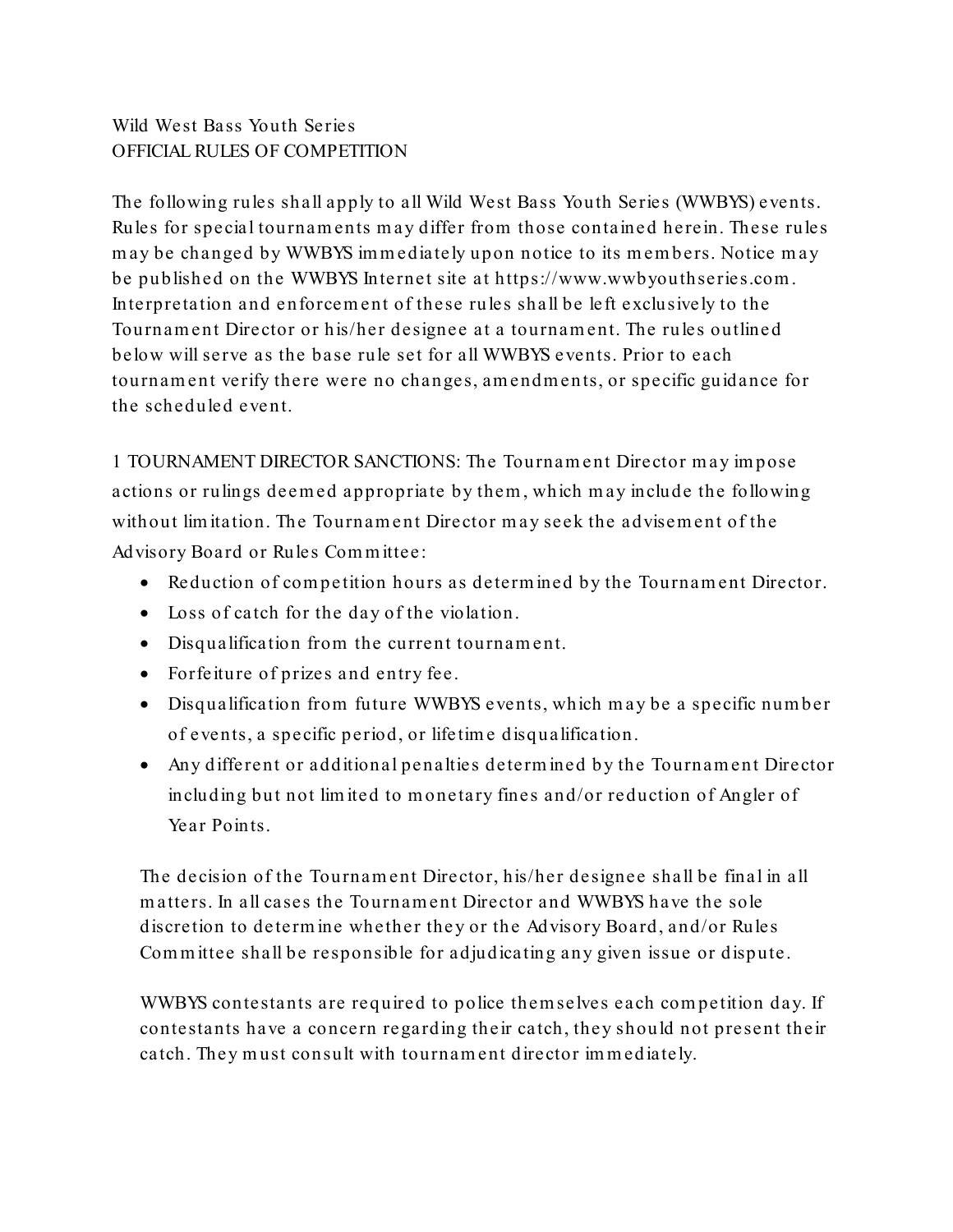## Wild West Bass Youth Series OFFICIAL RULES OF COMPETITION

The following rules shall apply to all Wild West Bass Youth Series (WWBYS) events. Rules for special tournaments may differ from those containe d herein. These rules may be changed by WWBYS im m ediately upon notice to its members. Notice may be published on the WWBYS Internet site at https://www.wwbyouthseries.com . Interpretation and enforcem ent of these rules shall be left e xclusively to the Tournam ent Director or his/her designee at a tournament. The rules outline d below will serve as the base rule set for all WWBYS events. Prior to each tournament verify there were no changes, amendments, or specific guidance for the scheduled event.

1 TOURNAMENT DIRECTOR SANCTIONS: The Tournament Director may impose actions or rulings deemed appropriate by them, which may include the following without limitation. The Tournament Director may seek the advisement of the Advisory Board or Rules Com m ittee:

- Reduction of com pe tition hours as determ ined by the Tournament Director.
- Loss of catch for the day of the violation.
- Disqualification from the current tournament.
- Forfeiture of prizes and entry fee.
- Disqualification from future WWBYS events, which may be a specific number of events, a specific period, or life tim e disqualification.
- Any different or additional penalties determ ined by the Tournam ent Director including but not lim ited to monetary fines and/or reduction of Angler of Year Points.

The decision of the Tournam ent Director, his/her designee shall be final in all matters. In all cases the Tournam ent Director and WWBYS have the sole discretion to de term ine whether they or the Advisory Board, and/or Rules Com m ittee shall be responsible for adjudicating any given issue or dispute.

WWBYS contestants are required to police them selves each com petition day. If contestants have a concern regarding their catch, they should not present their catch. They must consult with tournament director im m ediately.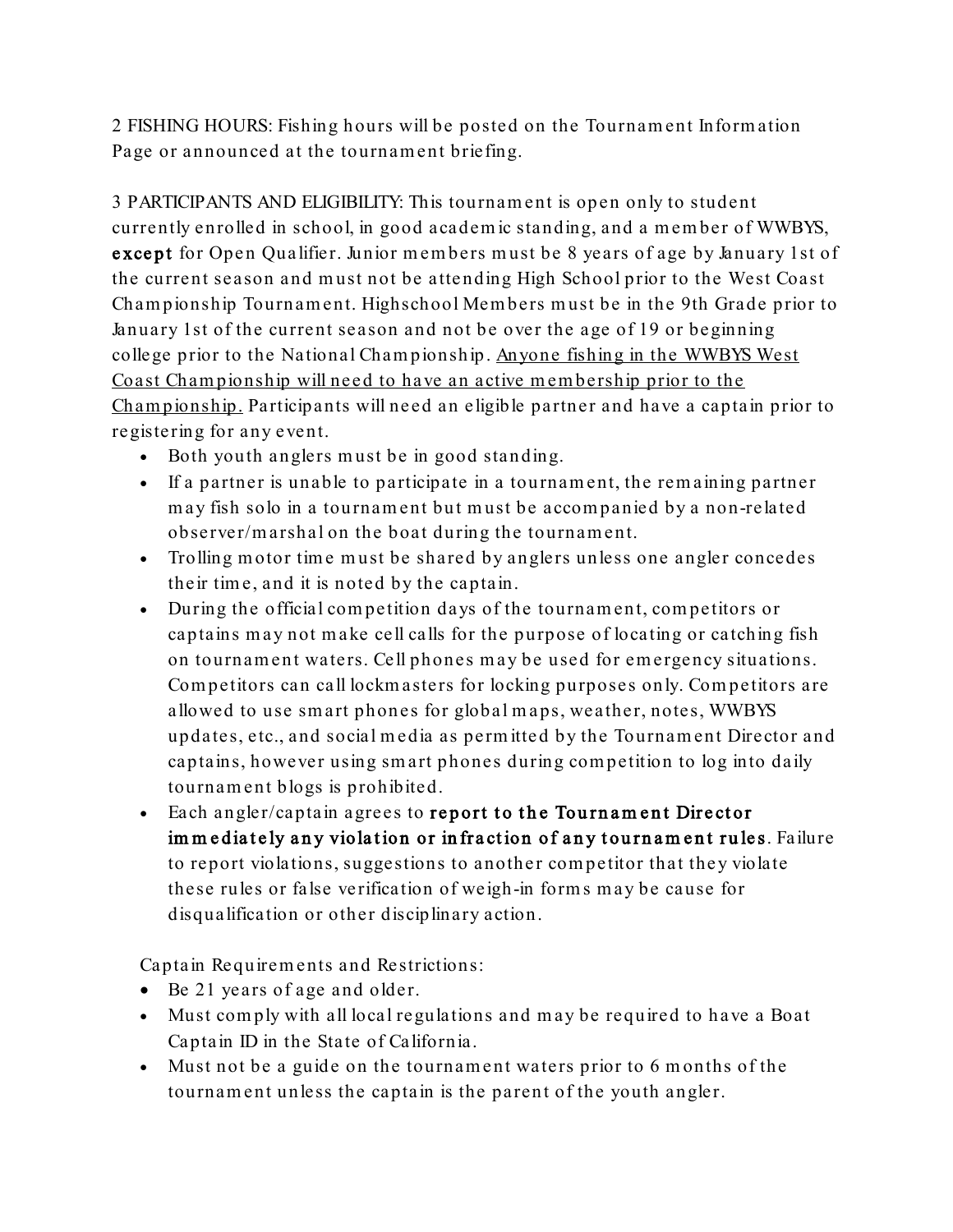2 FISHING HOURS: Fishing hours will be posted on the Tournam ent Inform ation Page or announced at the tournament briefing.

3 PARTICIPANTS AND ELIGIBILITY: This tournament is open only to student currently e nrolled in school, in good academ ic standing, and a member of WWBYS, except for Open Qua lifier. Junior members must be 8 years of age by January 1st of the current season and must not be attending High School prior to the West Coast Cham pionship Tournam ent. Highschool Mem bers must be in the 9th Grade prior to January 1st of the current season and not be over the age of 19 or beginning college prior to the National Cham pionship. Anyone fishing in the WWBYS West Coast Championship will need to have an active membership prior to the Cham pionship. Participants will need an eligible partner and have a captain prior to registering for any event.

- Both youth anglers must be in good standing.
- If a partner is unable to participate in a tournament, the rem aining partner may fish solo in a tournament but must be accom panied by a non-related observer/m arshal on the boat during the tournament.
- Trolling motor time must be shared by anglers unless one angler concedes their tim e, and it is noted by the captain.
- During the official com petition days of the tournament, com petitors or captains may not make cell calls for the purpose of locating or catching fish on tournament waters. Cell phones m ay be used for emergency situations. Com petitors can call lockm asters for locking purposes only. Com petitors are allowed to use smart phones for global maps, weather, notes, WWBYS updates, etc., and social m edia as perm itte d by the Tournam ent Director and captains, however using smart phones during com petition to log into daily tournament blogs is prohibited.
- Each angler/captain agrees to report to the Tournament Director im m ediately any violation or in fraction of any tournament ru les. Failure to report violations, suggestions to another com petitor that they violate these rules or false ve rification of weigh-in form s may be cause for disqualification or other disciplinary action.

Captain Requirem ents and Restrictions:

- Be 21 years of age and older.
- Must com ply with all local regulations and may be required to have a Boat Captain ID in the State of California.
- Must not be a guide on the tournament waters prior to 6 months of the tournament unless the captain is the parent of the youth angler.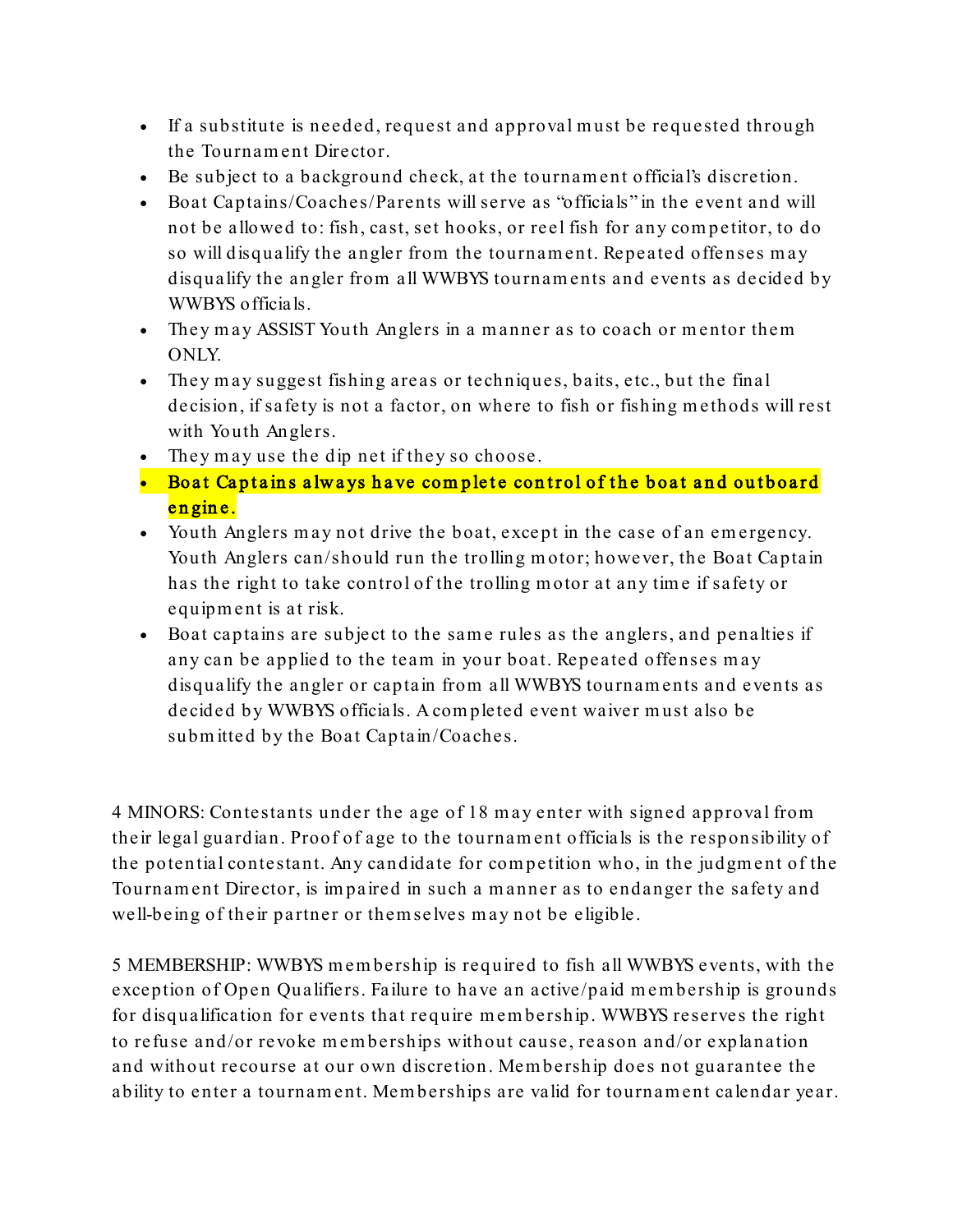- If a substitute is needed, request and approval must be requested through the Tournam ent Dire ctor.
- Be subject to a background check, at the tournament official's discretion.
- Boat Captains/Coaches/Parents will serve as "officials" in the event and will not be allowed to: fish, cast, set hooks, or reel fish for any com petitor, to do so will disqualify the angler from the tournament. Repeated offenses may disqualify the angler from all WWBYS tournaments and events as decided by WWBYS officials.
- They may ASSIST Youth Anglers in a manner as to coach or mentor them ONLY.
- They may suggest fishing areas or techniques, baits, etc., but the final decision, if safety is not a factor, on where to fish or fishing methods will rest with Youth Anglers.
- They may use the dip net if they so choose.
- Boat Captains always have complete control of the boat and outboard en gin e.
- Youth Anglers may not drive the boat, except in the case of an em ergency. Youth Anglers can/should run the trolling motor; however, the Boat Captain has the right to take control of the trolling motor at any tim e if safety or equipm e nt is at risk.
- Boat captains are subject to the same rules as the anglers, and penalties if any can be applied to the team in your boat. Repeated offenses may disqualify the angler or captain from all WWBYS tournaments and events as decided by WWBYS officials. A com pleted e vent waiver must also be submitted by the Boat Captain/Coaches.

4 MINORS: Contestants under the age of 18 may enter with signe d approval from their legal guardian. Proof of age to the tournament officials is the responsibility of the potential contestant. Any candidate for competition who, in the judgment of the Tournam ent Director, is im paired in such a manner as to endanger the safety and well-being of their partner or them se lves may not be eligible.

5 MEMBERSHIP: WWBYS m em bership is required to fish all WWBYS events, with the exception of Open Qualifiers. Failure to have an active/paid membership is grounds for disqualification for events that require membership. WWBYS reserves the right to refuse and/or revoke m em berships without cause, reason and/or explanation and without recourse at our own discretion. Mem bership does not guarantee the ability to enter a tournament. Mem berships are valid for tournament calendar year.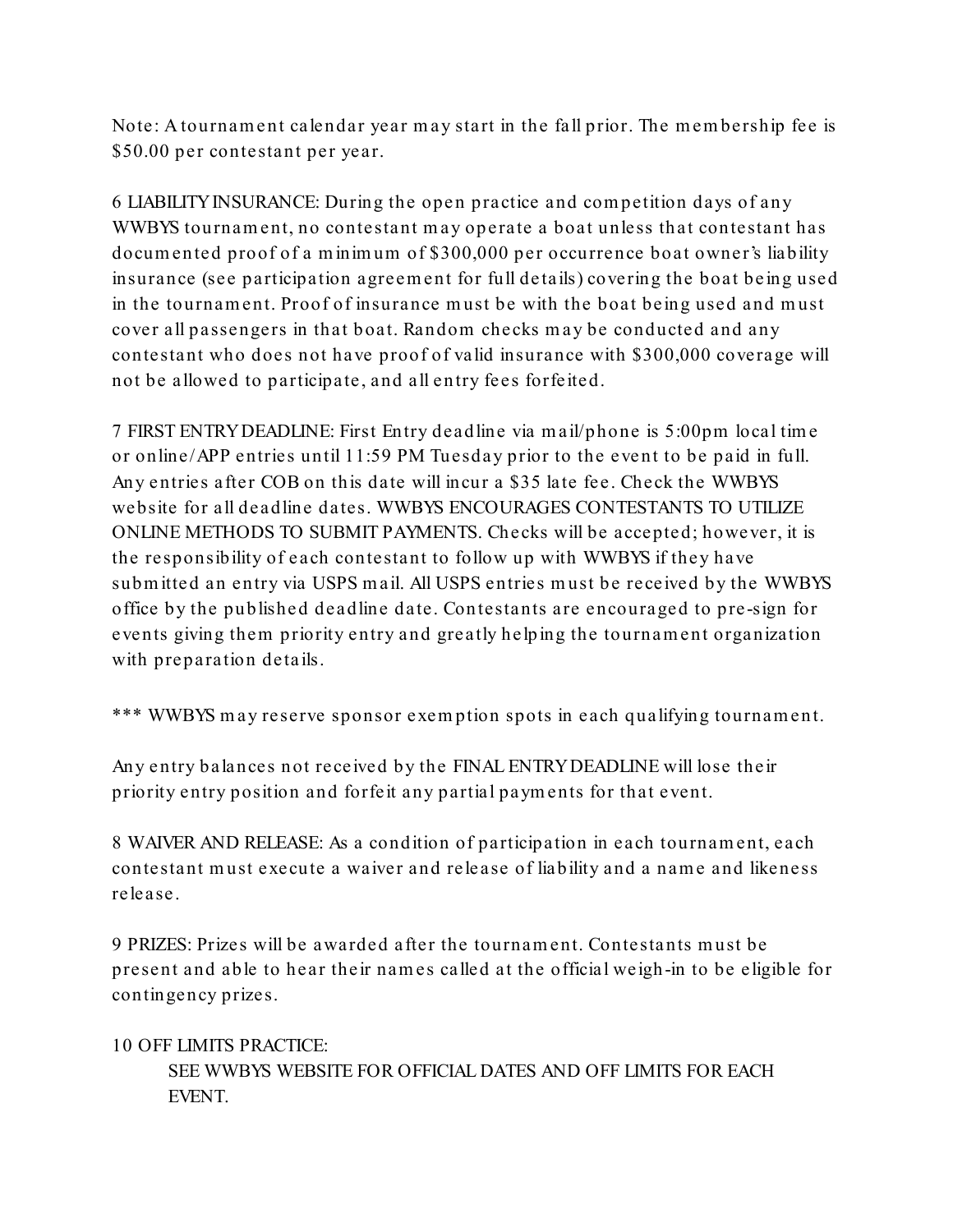Note: A tournament calendar year may start in the fall prior. The membership fee is \$50.00 per contestant per year.

6 LIABILITYINSURANCE: During the open practice and com petition days of any WWBYS tournament, no contestant may operate a boat unless that contestant has documented proof of a m inim um of \$300,000 per occurrence boat owner's liability insurance (see participation agreement for full details) covering the boat being used in the tournament. Proof of insurance must be with the boat being used and must cover all passengers in that boat. Random checks may be conducted and any contestant who does not have proof of valid insurance with \$300,000 coverage will not be allowed to participate, and all entry fees forfeited.

7 FIRST ENTRYDEADLINE: First Entry deadline via m ail/phone is 5:00pm local tim e or online/APP entries until 11:59 PM Tuesday prior to the eve nt to be paid in full. Any entries after COB on this date will incur a \$35 late fee. Check the WWBYS website for all deadline dates. WWBYS ENCOURAGES CONTESTANTS TO UTILIZE ONLINE METHODS TO SUBMIT PAYMENTS. Checks will be accepted; however, it is the responsibility of each contestant to follow up with WWBYS if they have submitted an entry via USPS mail. All USPS entries must be received by the WWBYS office by the published deadline date. Contestants are encouraged to pre-sign for events giving them priority entry and greatly helping the tournament organization with preparation details.

\*\*\* WWBYS may reserve sponsor exem ption spots in each qualifying tournament.

Any entry balances not received by the FINAL ENTRYDEADLINE will lose their priority entry position and forfeit any partial paym ents for that event.

8 WAIVER AND RELEASE: As a condition of participation in each tournament, each contestant must execute a waiver and rele ase of liability and a name and likeness release.

9 PRIZES: Prizes will be awarded after the tournament. Contesta nts must be present and able to hear their names called a t the official weigh-in to be eligible for continge ncy prizes.

## 10 OFF LIMITS PRACTICE:

SEE WWBYS WEBSITE FOR OFFICIAL DATES AND OFF LIMITS FOR EACH EVENT.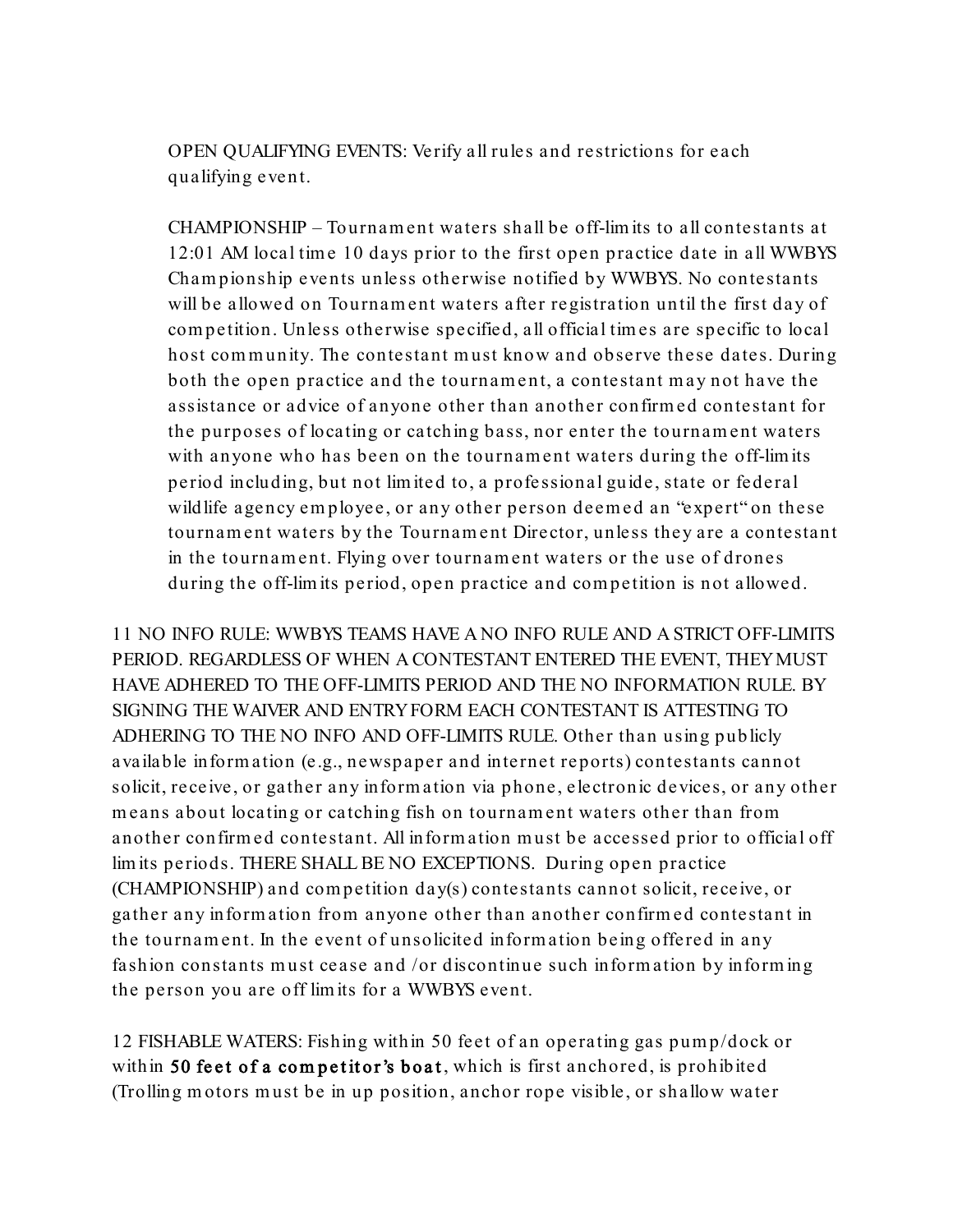OPEN QUALIFYING EVENTS: Verify all rules and restrictions for each qualifying event.

CHAMPIONSHIP – Tournam ent waters shall be off-lim its to all contestants at 12:01 AM local tim e 10 days prior to the first open practice date in all WWBYS Cham pionship eve nts unless otherwise notified by WWBYS. No contestants will be allowed on Tournament waters after registration until the first day of com petition. Unless otherwise specified, all official tim es are specific to local host community. The contestant must know and observe these dates. During both the open practice and the tournament, a contestant may not have the assistance or advice of anyone other than another confirm ed contestant for the purposes of locating or catching bass, nor enter the tournament waters with anyone who has been on the tournament waters during the off-lim its period including, but not lim ite d to, a profe ssional guide, state or federal wildlife agency em ployee, or any other person deemed an "expert" on these tournament waters by the Tournament Director, unless they are a contestant in the tournament. Flying over tournament waters or the use of drones during the off-lim its period, open practice and com petition is not allowed.

11 NO INFO RULE: WWBYS TEAMS HAVE A NO INFO RULE AND A STRICT OFF-LIMITS PERIOD. REGARDLESS OF WHEN A CONTESTANT ENTERED THE EVENT, THEYMUST HAVE ADHERED TO THE OFF-LIMITS PERIOD AND THE NO INFORMATION RULE. BY SIGNING THE WAIVER AND ENTRYFORM EACH CONTESTANT IS ATTESTING TO ADHERING TO THE NO INFO AND OFF-LIMITS RULE. Other than using publicly available inform ation (e.g., newspaper and internet reports) contestants cannot solicit, receive, or gather any inform ation via phone, electronic devices, or any other means about locating or catching fish on tournament waters other than from another confirm ed contestant. All inform ation must be accessed prior to official off lim its periods. THERE SHALL BE NO EXCEPTIONS. During open practice (CHAMPIONSHIP) and com petition day(s) contestants cannot solicit, receive, or gather any inform ation from anyone other than another confirm ed contestant in the tournament. In the event of unsolicited inform ation being offered in any fashion constants must cease and /or discontinue such inform ation by inform ing the person you are off lim its for a WWBYS event.

12 FISHABLE WATERS: Fishing within 50 feet of an operating gas pump/dock or within 50 feet of a competitor's boat, which is first anchored, is prohibited (Trolling motors must be in up position, anchor rope visible, or shallow water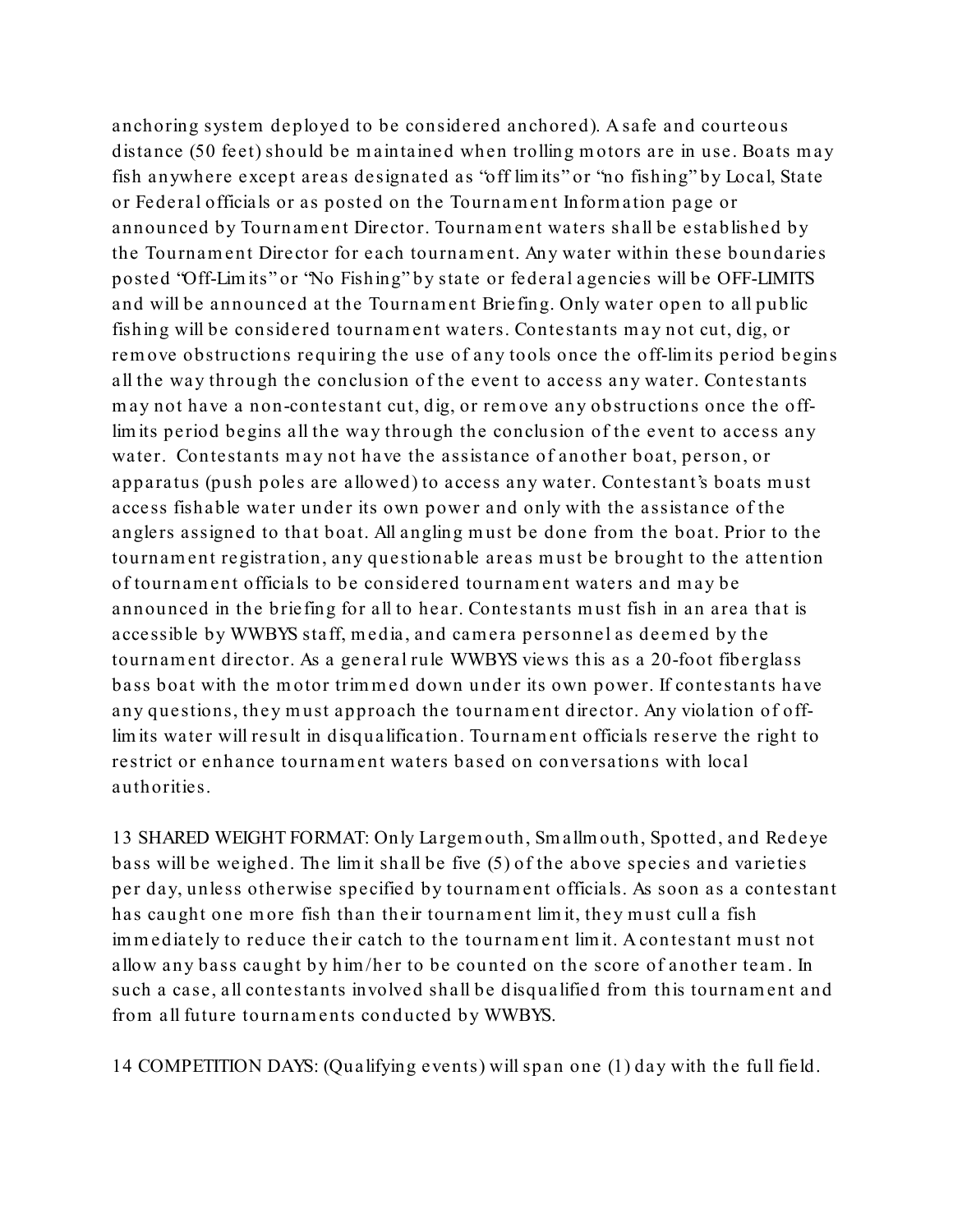anchoring system deployed to be considered anchored). A safe and courteous distance (50 feet) should be maintained when trolling motors are in use. Boats may fish anywhere except areas designated as "off lim its" or "no fishing" by Local, State or Federal officials or as posted on the Tournam ent Inform ation page or announced by Tournam ent Director. Tournam ent waters shall be established by the Tournam ent Dire ctor for each tournament. Any water within these boundaries posted "Off-Lim its" or "No Fishing" by state or federal agencies will be OFF-LIMITS and will be announced at the Tournam ent Briefing. Only water open to all public fishing will be conside red tournament waters. Contestants may not cut, dig, or rem ove obstructions requiring the use of any tools once the off-lim its period begins all the way through the conclusion of the event to access any water. Contestants may not have a non-contestant cut, dig, or rem ove any obstructions once the offlim its period begins all the way through the conclusion of the event to access any water. Contestants may not have the assistance of another boat, person, or apparatus (push poles are allowed) to access any water. Contestant's boats must access fishable water under its own power and only with the assistance of the anglers assigned to that boat. All angling must be done from the boat. Prior to the tournament registration, any questionable areas must be brought to the attention of tournament officials to be considered tournament waters and may be announced in the briefing for all to hear. Contestants must fish in an area that is accessible by WWBYS staff, m edia, and camera personnel as deemed by the tournament director. As a general rule WWBYS views this as a 20-foot fiberglass bass boat with the motor trimmed down under its own power. If contestants have any questions, they must approach the tournament director. Any violation of offlim its water will result in disqualification. Tournam ent officials reserve the right to restrict or enhance tournament waters based on conversations with local authorities.

13 SHARED WEIGHT FORMAT: Only Largem outh, Sm a llm outh, Spotted, and Rede ye bass will be weighed. The lim it shall be five (5) of the above species and varieties per day, unless otherwise specified by tournament officials. As soon as a contestant has caught one more fish than their tournament limit, they must cull a fish im m ediately to reduce their catch to the tournament lim it. A contestant must not allow any bass caught by him /her to be counted on the score of another team. In such a case, all contestants involved shall be disqualified from this tournament and from all future tournaments conducted by WWBYS.

14 COMPETITION DAYS: (Qualifying events) will span one (1) day with the full field.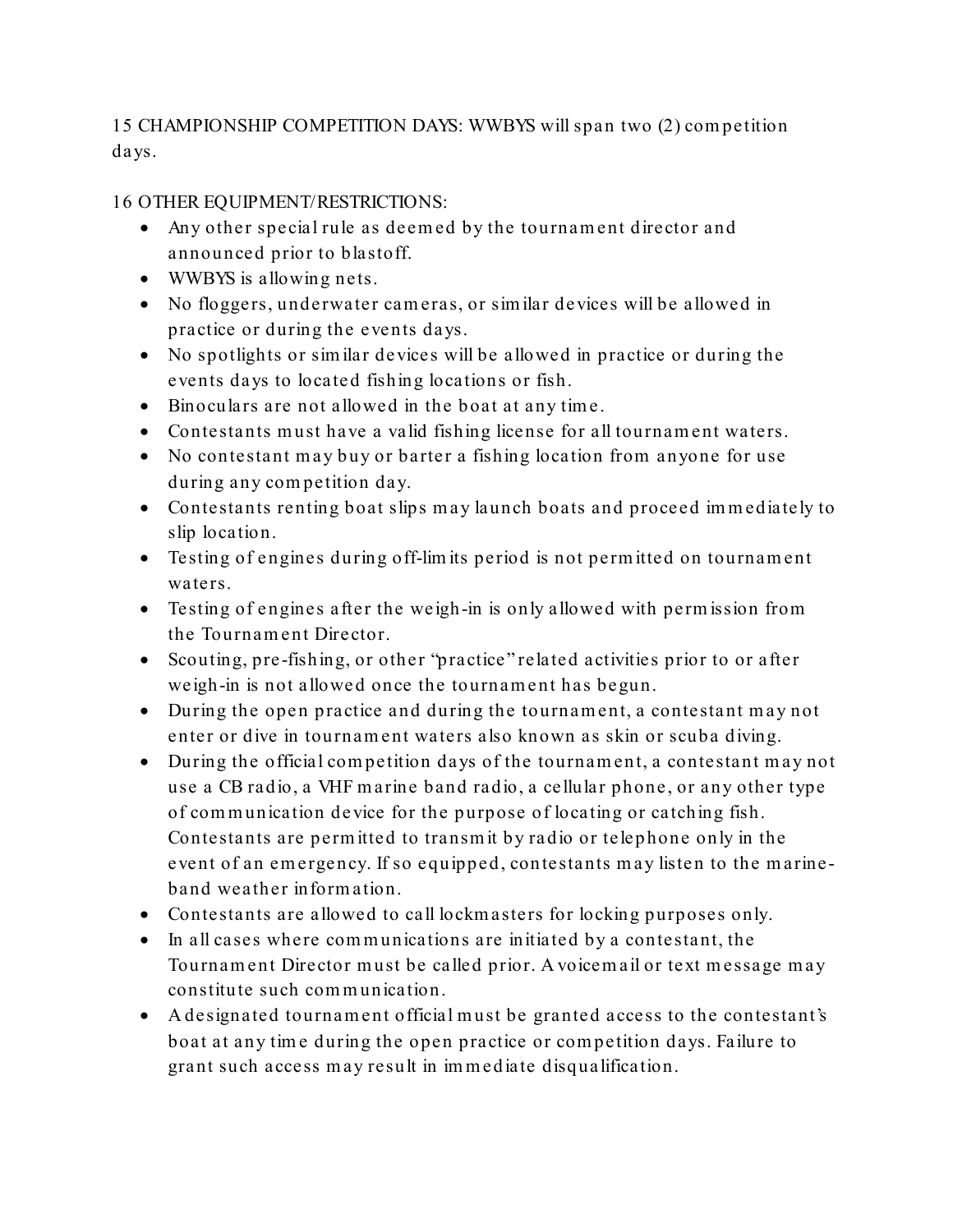15 CHAMPIONSHIP COMPETITION DAYS: WWBYS will span two (2) com petition days.

16 OTHER EQUIPMENT/RESTRICTIONS:

- Any other special rule as deemed by the tournament director and announced prior to blastoff.
- WWBYS is allowing nets.
- No floggers, underwater cameras, or sim ilar devices will be allowed in practice or during the events days.
- No spotlights or sim ilar devices will be allowed in practice or during the events days to located fishing locations or fish.
- Binoculars are not allowed in the boat at any tim e.
- Contestants must have a valid fishing license for all tournament waters.
- No contestant may buy or barter a fishing location from anyone for use during any com petition day.
- Contestants renting boat slips may launch boats and proceed im m ediately to slip location.
- Testing of engines during off-limits period is not permitted on tournament waters.
- Testing of e ngines after the weigh-in is only allowed with perm ission from the Tournam ent Dire ctor.
- Scouting, pre -fishing, or other "practice" related activities prior to or after weigh-in is not allowed once the tournament has begun.
- During the open practice and during the tournament, a contestant may not enter or dive in tournament waters also known as skin or scuba diving.
- During the official com petition days of the tournament, a contestant may not use a CB radio, a VHF m arine band radio, a cellular phone, or any other type of com m unication de vice for the purpose of locating or catching fish. Contestants are perm itted to transm it by ra dio or telephone only in the event of an emergency. If so equipped, contestants may listen to the marineband weather inform ation.
- Contestants are allowed to call lockm asters for locking purposes only.
- In all cases where communications are initiated by a contestant, the Tournam ent Director must be called prior. A voicem ail or text message may constitute such com m unication.
- A designated tournament official must be granted access to the contestant's boat at any tim e during the open practice or com petition days. Failure to grant such access may result in im m ediate disqualification.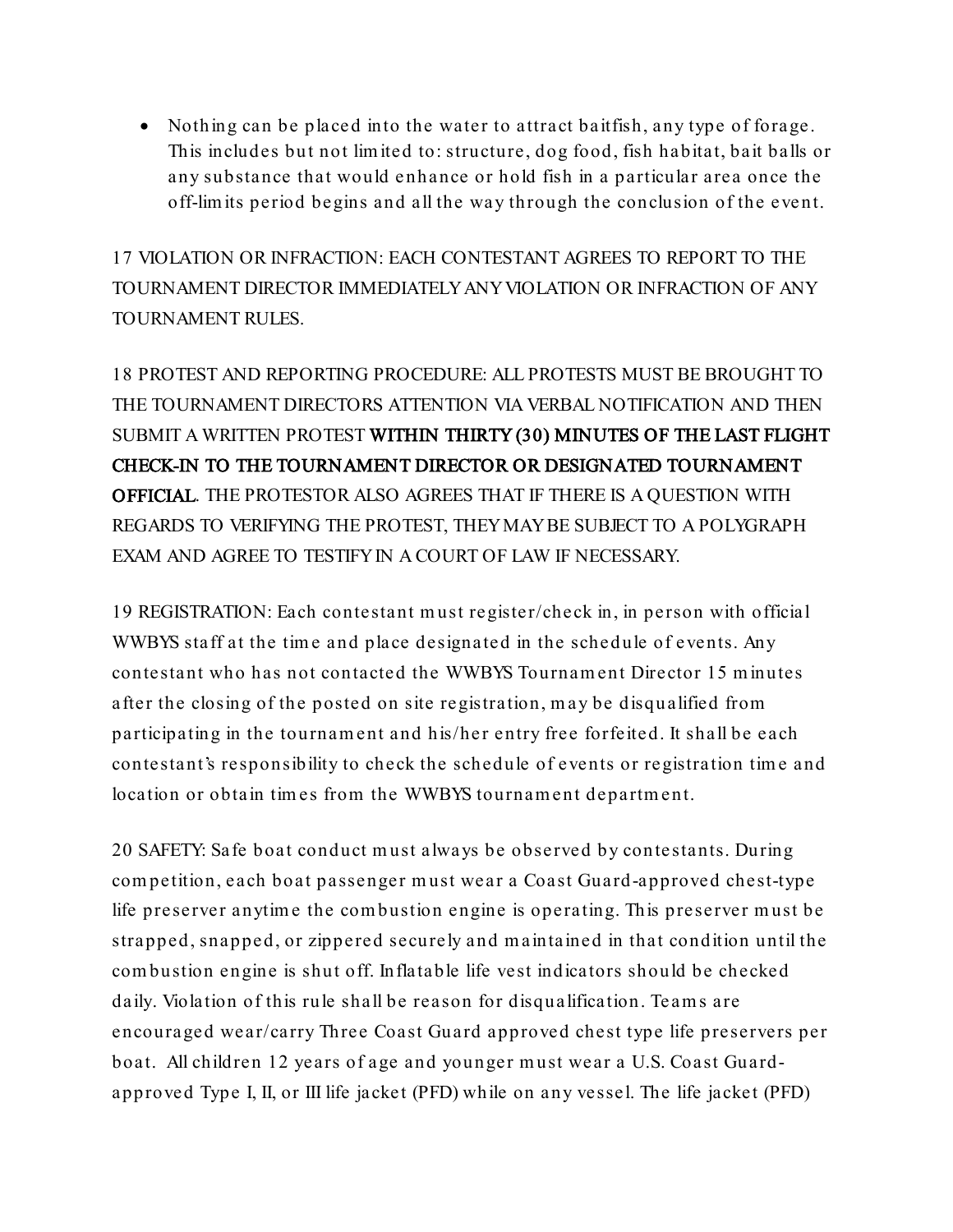• Nothing can be placed into the water to attract baitfish, any type of forage. This includes but not lim ited to: structure, dog food, fish habitat, bait balls or any substance that would enhance or hold fish in a particular area once the off-limits period begins and all the way through the conclusion of the event.

17 VIOLATION OR INFRACTION: EACH CONTESTANT AGREES TO REPORT TO THE TOURNAMENT DIRECTOR IMMEDIATELYANYVIOLATION OR INFRACTION OF ANY TOURNAMENT RULES.

18 PROTEST AND REPORTING PROCEDURE: ALL PROTESTS MUST BE BROUGHT TO THE TOURNAMENT DIRECTORS ATTENTION VIA VERBAL NOTIFICATION AND THEN SUBMIT A WRITTEN PROTEST WITHIN THIRTY (30) MINUTES OF THE LAST FLIGHT CHECK-IN TO THE TOURNAMENT DIRECTOR OR DESIGNATED TOURNAMENT OFFICIAL. THE PROTESTOR ALSO AGREES THAT IF THERE IS A QUESTION WITH REGARDS TO VERIFYING THE PROTEST, THEYMAYBE SUBJECT TO A POLYGRAPH EXAM AND AGREE TO TESTIFY IN A COURT OF LAW IF NECESSARY.

19 REGISTRATION: Each contestant must register/check in, in person with official WWBYS staff at the time and place designated in the schedule of events. Any contestant who has not contacted the WWBYS Tournam ent Dire ctor 15 m inutes after the closing of the posted on site registration, may be disqualified from participating in the tournament and his/her entry free forfeited. It shall be each contestant's responsibility to check the schedule of events or registration tim e and location or obtain tim es from the WWBYS tournament department.

20 SAFETY: Safe boat conduct must always be observed by contestants. During com petition, each boat passenger must wear a Coast Guard-approved chest-type life preserver anytim e the com bustion engine is operating. This preserver must be strapped, snapped, or zippered securely and m aintained in that condition until the com bustion engine is shut off. Inflatable life vest indicators should be checked daily. Violation of this rule shall be reason for disqualification. Te am s are encouraged wear/carry Three Coast Guard approved chest type life preservers per boat. All children 12 years of age and younger must wear a U.S. Coast Guardapproved Type I, II, or III life jacket (PFD) while on any vessel. The life jacket (PFD)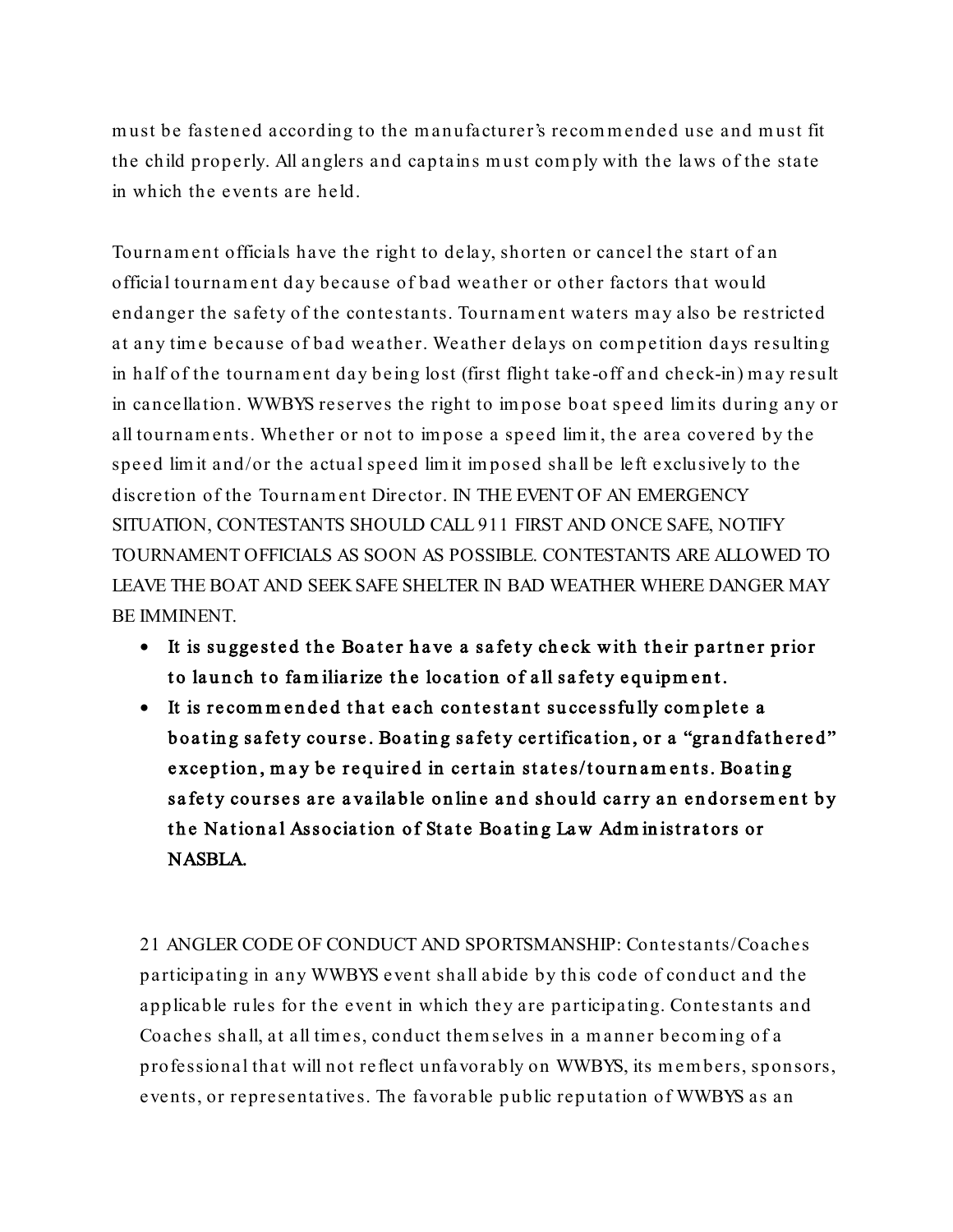must be fastened according to the m anufacturer's recommended use and must fit the child properly. All anglers and captains must com ply with the laws of the state in which the events are held.

Tournam ent officials have the right to dela y, shorten or cancel the start of an official tournament day because of bad weather or other factors that would endanger the safety of the contestants. Tournam ent waters may also be restricted at any tim e because of bad weather. Weather delays on compe tition days resulting in half of the tournament day be ing lost (first flight take -off and check-in) may result in cancellation. WWBYS reserves the right to im pose boat speed lim its during any or all tournaments. Whether or not to im pose a speed lim it, the area covered by the speed lim it and/or the actual speed lim it im posed shall be left e xclusively to the discretion of the Tournam ent Director. IN THE EVENT OF AN EMERGENCY SITUATION, CONTESTANTS SHOULD CALL 911 FIRST AND ONCE SAFE, NOTIFY TOURNAMENT OFFICIALS AS SOON AS POSSIBLE. CONTESTANTS ARE ALLOWED TO LEAVE THE BOAT AND SEEK SAFE SHELTER IN BAD WEATHER WHERE DANGER MAY BE IMMINENT.

- It is suggested the Boater have a safety check with their partner prior to launch to familiarize the location of all safety equipment.
- It is recom m ended that each contestant su ccessfu lly com plete a boating safety course. Boating safety certification, or a "grandfathered" exception, may be required in certain states/tournaments. Boating safety courses are available online and should carry an endorsement by the National Association of State Boating Law Administrators or NASBLA.

21 ANGLER CODE OF CONDUCT AND SPORTSMANSHIP: Contestants/Coaches participating in any WWBYS event shall abide by this code of conduct and the applicable rules for the event in which they are participating. Contestants and Coaches shall, at all tim es, conduct them selves in a manner becom ing of a professional that will not reflect unfavorably on WWBYS, its members, sponsors, events, or representa tives. The favorable public reputation of WWBYS as an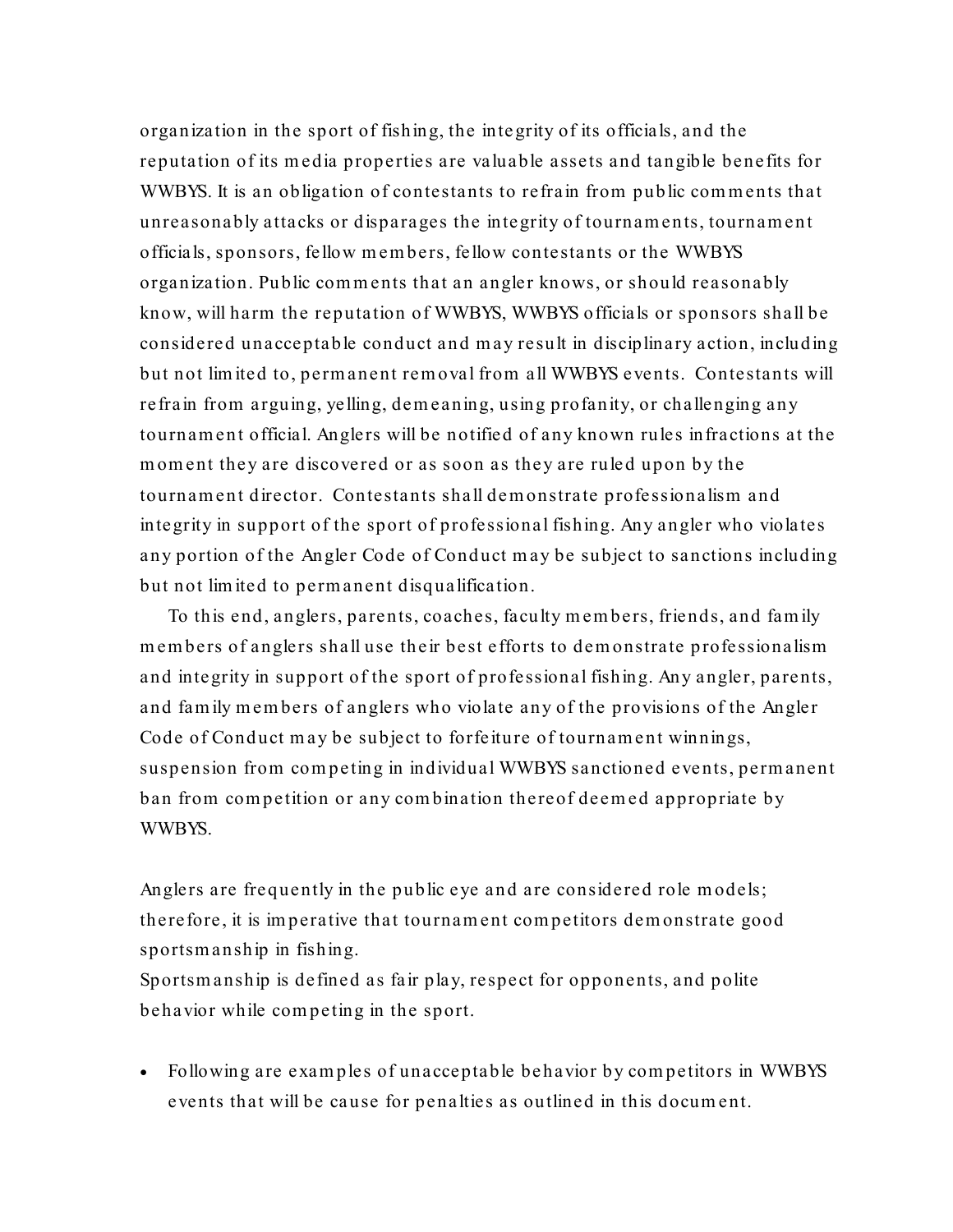organization in the sport of fishing, the inte grity of its officials, and the reputation of its m edia properties are valuable assets and tangible benefits for WWBYS. It is an obligation of contestants to refrain from public comments that unreasonably attacks or disparages the inte grity of tournaments, tournament officials, sponsors, fellow members, fellow contestants or the WWBYS organization. Public comments that an angler knows, or should rea sonably know, will harm the reputation of WWBYS, WWBYS officials or sponsors shall be considered unacceptable conduct and may result in disciplinary action, including but not lim ite d to, permanent rem oval from all WWBYS events. Contestants will refrain from arguing, yelling, dem eaning, using profanity, or challenging any tournament official. Anglers will be notified of any known rules infractions at the moment they are discovered or as soon as they are ruled upon by the tournament director. Contestants shall demonstrate professionalism and integrity in support of the sport of professional fishing. Any angler who violates any portion of the Angler Code of Conduct may be subject to sanctions including but not limited to permanent disqualification.

To this end, anglers, parents, coaches, faculty members, friends, and fam ily members of anglers shall use their best efforts to demonstrate professionalism and integrity in support of the sport of professional fishing. Any angler, parents, and fam ily members of anglers who violate any of the provisions of the Angler Code of Conduct may be subject to forfeiture of tournament winnings, suspension from competing in individual WWBYS sanctioned events, permanent ban from com petition or any com bination thereof deemed appropriate by WWBYS.

Anglers are frequently in the public eye and are considered role m odels; therefore, it is im perative that tournament com petitors demonstrate good sportsm anship in fishing. Sportsm anship is defined as fair play, respect for opponents, and polite behavior while com peting in the sport.

• Following are examples of unacceptable behavior by competitors in WWBYS events that will be cause for penalties as outlined in this docum ent.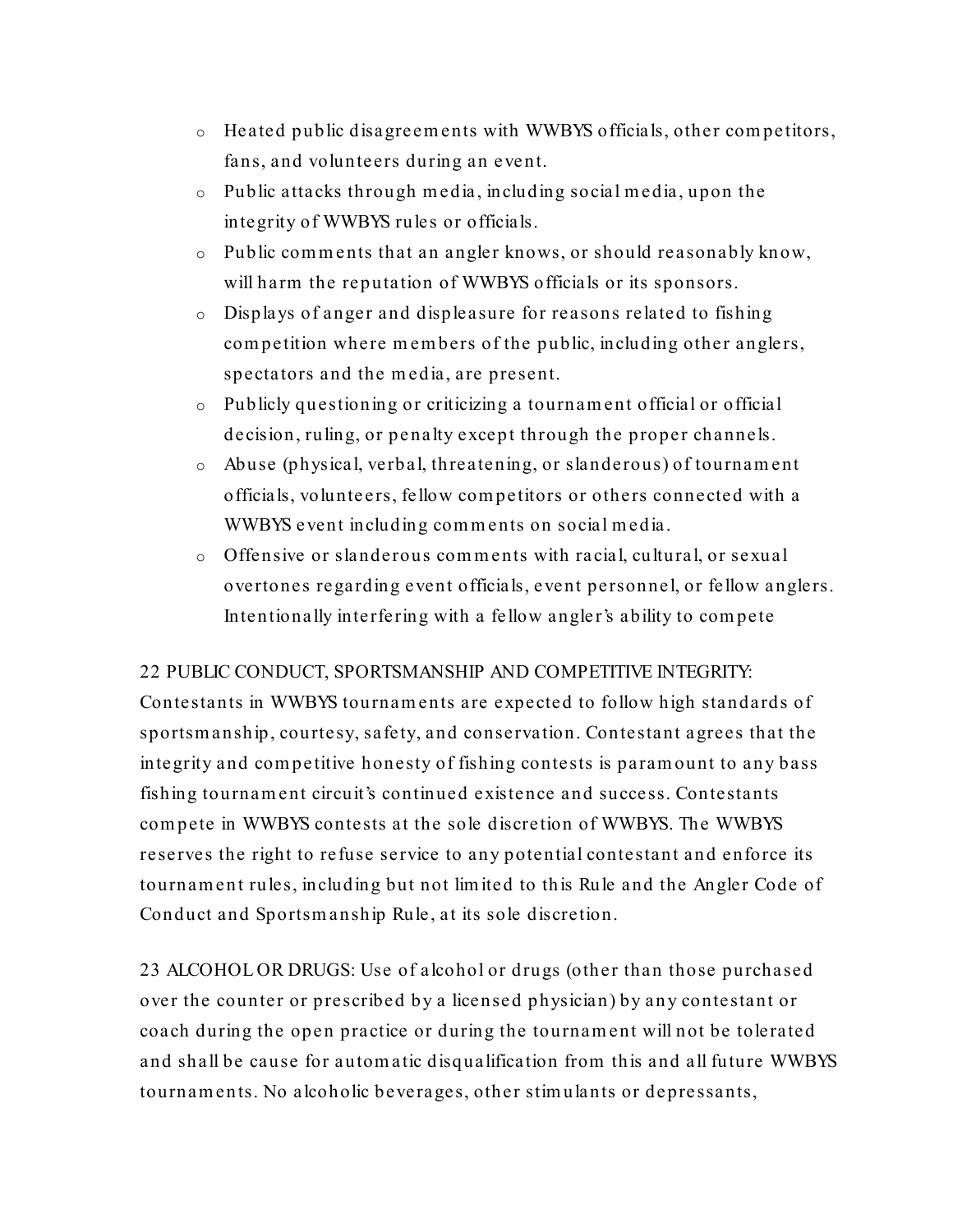- o Heated public disagreem ents with WWBYS officials, other com pe titors, fans, and volunteers during an event.
- o Public attacks through m edia, including social m edia, upon the integrity of WWBYS rules or officials.
- o Public comments that an angler knows, or should reasonably know, will harm the reputation of WWBYS officials or its sponsors.
- o Displays of anger and displeasure for reasons related to fishing competition where members of the public, including other anglers, spectators and the m edia, are present.
- o Publicly questioning or criticizing a tournament officia l or official decision, ruling, or penalty except through the proper channels.
- o Abuse (physical, verbal, threatening, or slanderous) of tournament officials, volunte ers, fellow com pe titors or others connected with a WWBYS event including comments on social m edia.
- $\circ$  Offensive or slanderous comments with racial, cultural, or sexual overtones regarding event officials, event personnel, or fellow anglers. Intentionally interfering with a fellow angler's ability to compete

## 22 PUBLIC CONDUCT, SPORTSMANSHIP AND COMPETITIVE INTEGRITY:

Contestants in WWBYS tournaments are expected to follow high standards of sportsm anship, courtesy, safety, and conservation. Contestant agrees that the integrity and com pe titive honesty of fishing contests is paramount to any bass fishing tournament circuit's continued e xistence and success. Contestants compete in WWBYS contests at the sole discretion of WWBYS. The WWBYS reserves the right to refuse service to any potential contestant and enforce its tournament rules, including but not lim ited to this Rule and the Angler Code of Conduct and Sportsm anship Rule, at its sole discretion.

23 ALCOHOL OR DRUGS: Use of alcohol or drugs (other than those purchased over the counter or prescribed by a license d physician) by any contestant or coach during the open practice or during the tournament will not be tolerated and shall be cause for autom atic disqualification from this and all future WWBYS tournaments. No alcoholic beverages, other stim ulants or depressants,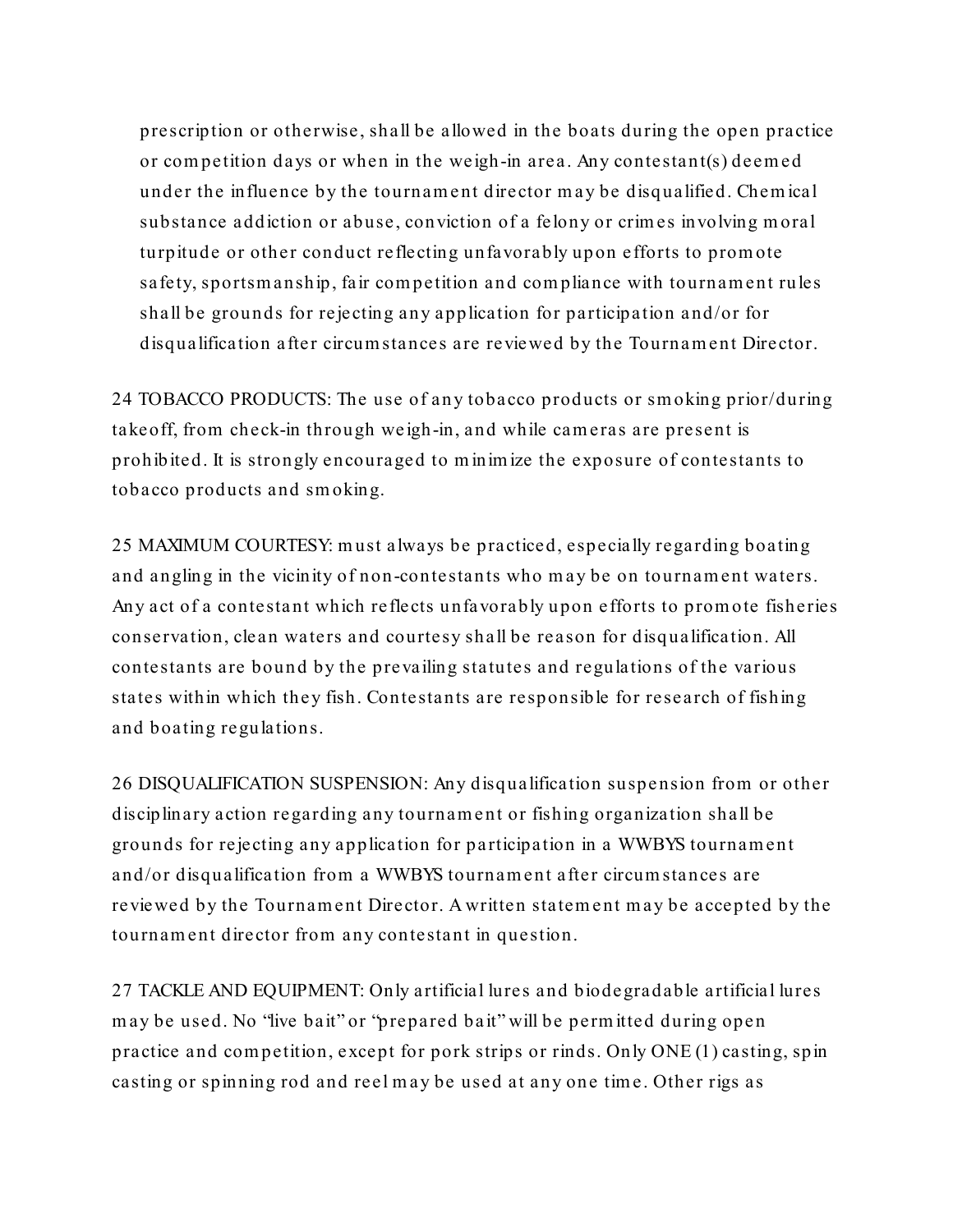prescription or otherwise, shall be allowed in the boats during the open practice or com petition days or when in the weigh-in area. Any contestant(s) deemed under the influence by the tournament director may be disqualified. Chem ical substance addiction or abuse, conviction of a felony or crim es involving moral turpitude or other conduct reflecting unfavorably upon efforts to promote safety, sportsm anship, fair com petition and com pliance with tournament rules shall be grounds for rejecting any application for participation and/or for disqualification after circum stances are reviewed by the Tournament Director.

24 TOBACCO PRODUCTS: The use of any tobacco products or sm oking prior/during takeoff, from check-in through we igh-in, and while cameras are present is prohibited. It is strongly encouraged to m inim ize the exposure of contestants to tobacco products and sm oking.

25 MAXIMUM COURTESY: must always be practiced, especially regarding boating and angling in the vicinity of non-contestants who may be on tournament waters. Any act of a contestant which reflects unfavorably upon efforts to promote fisheries conservation, clean waters and courtesy shall be reason for disqualification. All contestants are bound by the prevailing statutes and regulations of the various states within which they fish. Contestants are responsible for research of fishing and boating regulations.

26 DISQUALIFICATION SUSPENSION: Any disqualification suspension from or other disciplinary action regarding any tournament or fishing organization shall be grounds for rejecting any application for pa rticipation in a WWBYS tournament and/or disqualification from a WWBYS tournament after circum stances are reviewed by the Tournam ent Director. A written statement may be accepted by the tournament director from any contestant in question.

27 TACKLE AND EQUIPMENT: Only artificial lures and biodegradable artificial lures may be used. No "live bait" or "prepared ba it" will be perm itted during open practice and com petition, except for pork strips or rinds. Only ONE (1) casting, spin casting or spinning rod and reel may be used at any one tim e. Other rigs as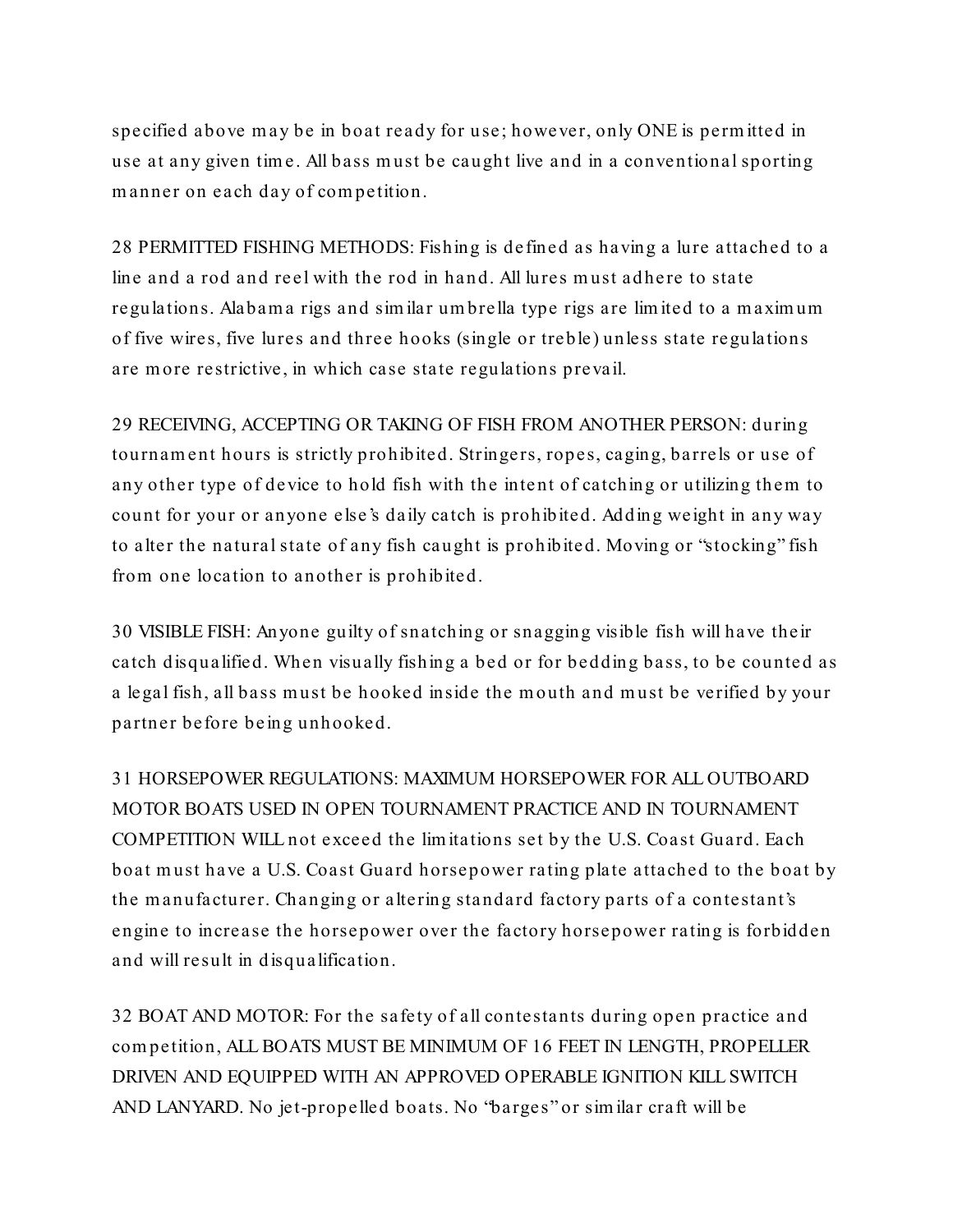specified above may be in boat ready for use; however, only ONE is perm itted in use at any given tim e. All bass must be caught live and in a conventional sporting manner on each day of com petition.

28 PERMITTED FISHING METHODS: Fishing is defined as having a lure attached to a line and a rod and reel with the rod in hand. All lures must adhere to state regulations. Alabam a rigs and sim ilar um brella type rigs are lim ited to a m axim um of five wires, five lures and three hooks (single or treble) unless state regulations are more restrictive, in which case state regulations prevail.

29 RECEIVING, ACCEPTING OR TAKING OF FISH FROM ANOTHER PERSON: during tournament hours is strictly prohibited. Stringers, ropes, caging, barrels or use of any other type of device to hold fish with the intent of catching or utilizing them to count for your or anyone else's daily catch is prohibited. Adding weight in any way to alter the natural state of any fish caught is prohibited. Moving or "stocking" fish from one location to another is prohibited.

30 VISIBLE FISH: Anyone guilty of snatching or snagging visible fish will have their catch disqualified. When visually fishing a bed or for bedding bass, to be counted as a legal fish, all bass must be hooked inside the mouth and must be verified by your partner before be ing unhooked.

31 HORSEPOWER REGULATIONS: MAXIMUM HORSEPOWER FOR ALL OUTBOARD MOTOR BOATS USED IN OPEN TOURNAMENT PRACTICE AND IN TOURNAMENT COMPETITION WILL not exceed the lim itations set by the U.S. Coast Guard. Each boat must have a U.S. Coast Guard horsepower rating plate attached to the boat by the manufacturer. Changing or altering standard factory parts of a contestant's engine to increase the horsepower over the factory horsepower rating is forbidden and will result in disqualification.

32 BOAT AND MOTOR: For the safety of all contestants during open practice and com petition, ALL BOATS MUST BE MINIMUM OF 16 FEET IN LENGTH, PROPELLER DRIVEN AND EQUIPPED WITH AN APPROVED OPERABLE IGNITION KILL SWITCH AND LANYARD. No jet-propelled boats. No "barges" or sim ilar craft will be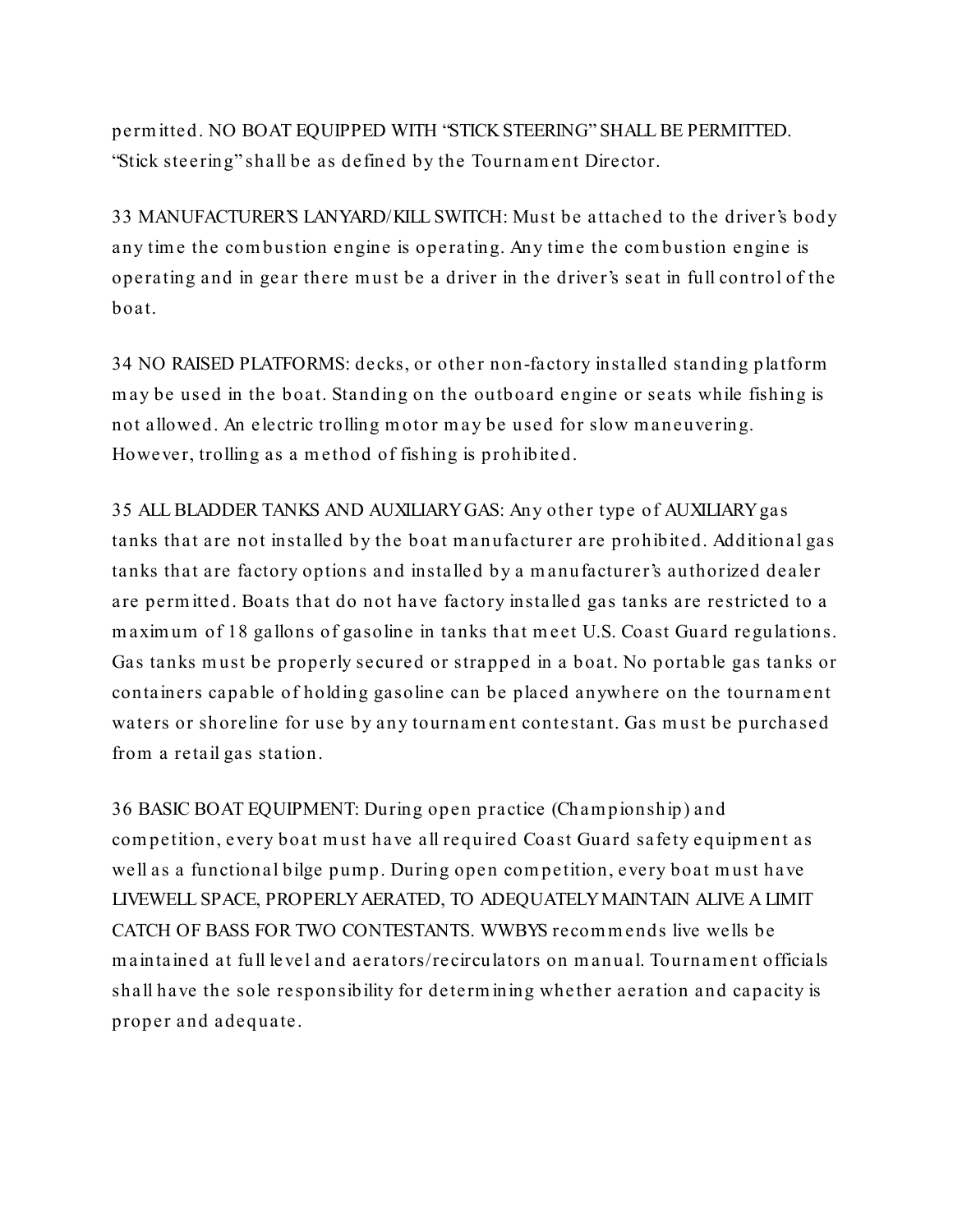perm itte d. NO BOAT EQUIPPED WITH "STICK STEERING" SHALL BE PERMITTED. "Stick steering" shall be as defined by the Tournam ent Director.

33 MANUFACTURER'S LANYARD/KILL SWITCH: Must be attached to the driver's body any time the combustion engine is operating. Any time the combustion engine is operating and in gear there must be a driver in the driver's seat in full control of the boat.

34 NO RAISED PLATFORMS: decks, or other non-factory installe d standing platform may be used in the boat. Standing on the outboard engine or seats while fishing is not allowed. An e lectric trolling motor may be used for slow m aneuvering. However, trolling as a method of fishing is prohibited.

35 ALL BLADDER TANKS AND AUXILIARYGAS: Any other type of AUXILIARYgas tanks that are not installed by the boat m anufacturer are prohibited. Additional gas tanks that are factory options and installed by a m anufacturer's authorized dealer are perm itted. Boats that do not have factory installed gas tanks are restricted to a m axim um of 18 gallons of gasoline in tanks that meet U.S. Coast Guard regulations. Gas tanks must be properly secured or strapped in a boat. No portable gas tanks or containers capable of holding gasoline can be placed anywhere on the tournament waters or shoreline for use by any tournament contestant. Gas must be purchased from a retail gas station.

36 BASIC BOAT EQUIPMENT: During open practice (Cham pionship) and com petition, every boat must have all required Coast Guard safety equipm ent as well as a functional bilge pump. During open com petition, every boat must have LIVEWELL SPACE, PROPERLYAERATED, TO ADEQUATELYMAINTAIN ALIVE A LIMIT CATCH OF BASS FOR TWO CONTESTANTS. WWBYS recommends live wells be m aintained at full le vel and aerators/recirculators on m anual. Tournam ent officials shall have the sole re sponsibility for determ ining whether aeration and capacity is proper and adequate.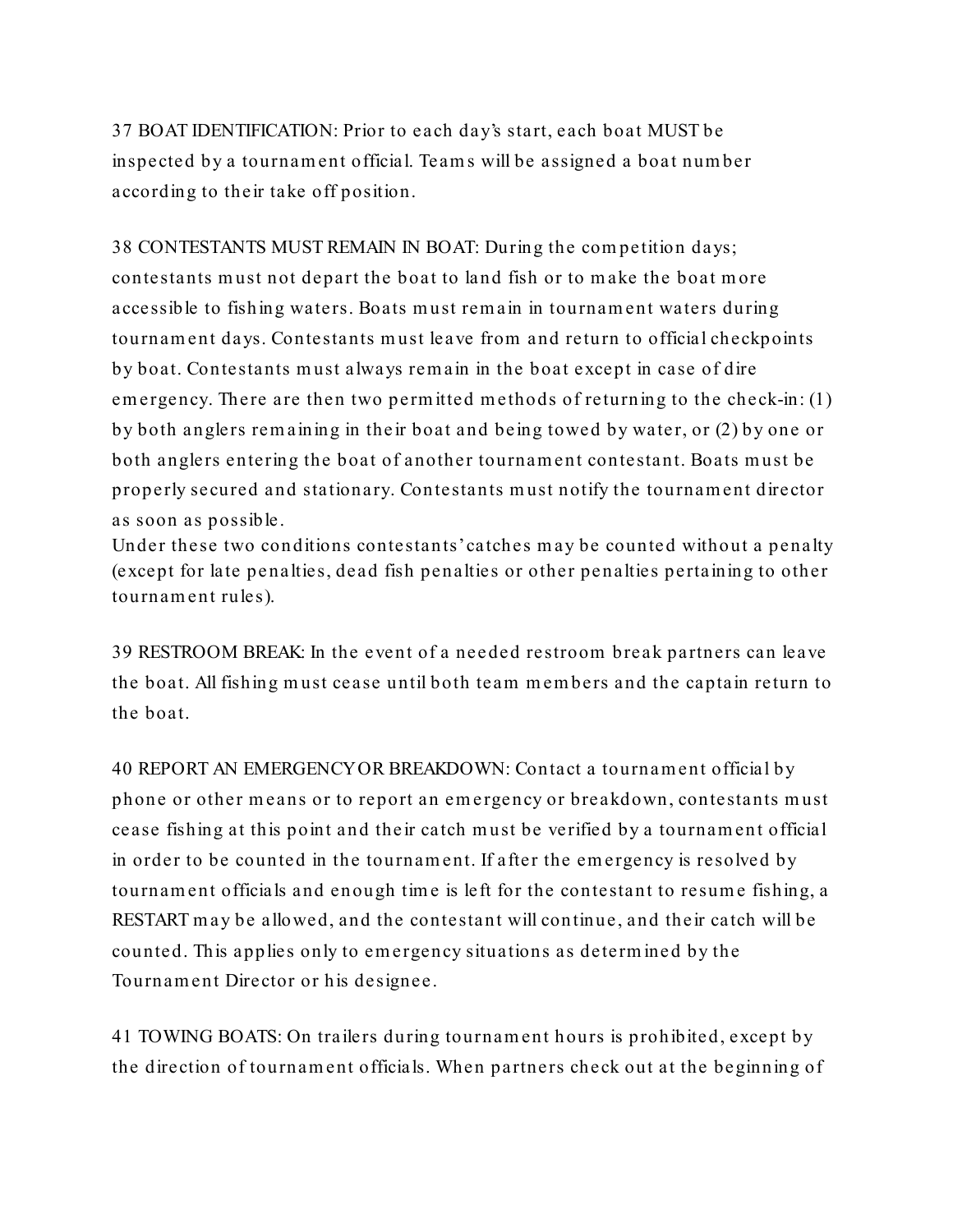37 BOAT IDENTIFICATION: Prior to each day's start, each boat MUST be inspected by a tournament official. Team s will be assigned a boat number according to their take off position.

38 CONTESTANTS MUST REMAIN IN BOAT: During the com petition days; contestants must not depart the boat to land fish or to make the boat more accessible to fishing waters. Boats must rem ain in tournament waters during tournament days. Contestants must leave from and return to official checkpoints by boat. Contestants must always rem ain in the boat except in case of dire em ergency. There are then two perm itted methods of returning to the check-in: (1) by both anglers rem aining in the ir boat and being towed by water, or (2) by one or both anglers entering the boat of another tournament contestant. Boats must be properly secured and stationary. Contestants must notify the tournament director as soon as possible.

Under these two conditions contestants'catches may be counted without a penalty (except for late penalties, dead fish penalties or other penalties pertaining to other tournament rules).

39 RESTROOM BREAK: In the event of a needed restroom break partners can leave the boat. All fishing must cease until both team members and the captain return to the boat.

40 REPORT AN EMERGENCYOR BREAKDOWN: Contact a tournament official by phone or other means or to report an em ergency or breakdown, contestants must cease fishing at this point and the ir catch must be verifie d by a tournament official in order to be counted in the tournament. If after the emergency is resolved by tournament officials and enough tim e is left for the contestant to resume fishing, a RESTART may be allowed, and the contestant will continue, and their catch will be counted. This applies only to emergency situations as determ ine d by the Tournam ent Director or his designee.

41 TOWING BOATS: On trailers during tournament hours is prohibite d, except by the direction of tournament officials. When partners check out at the beginning of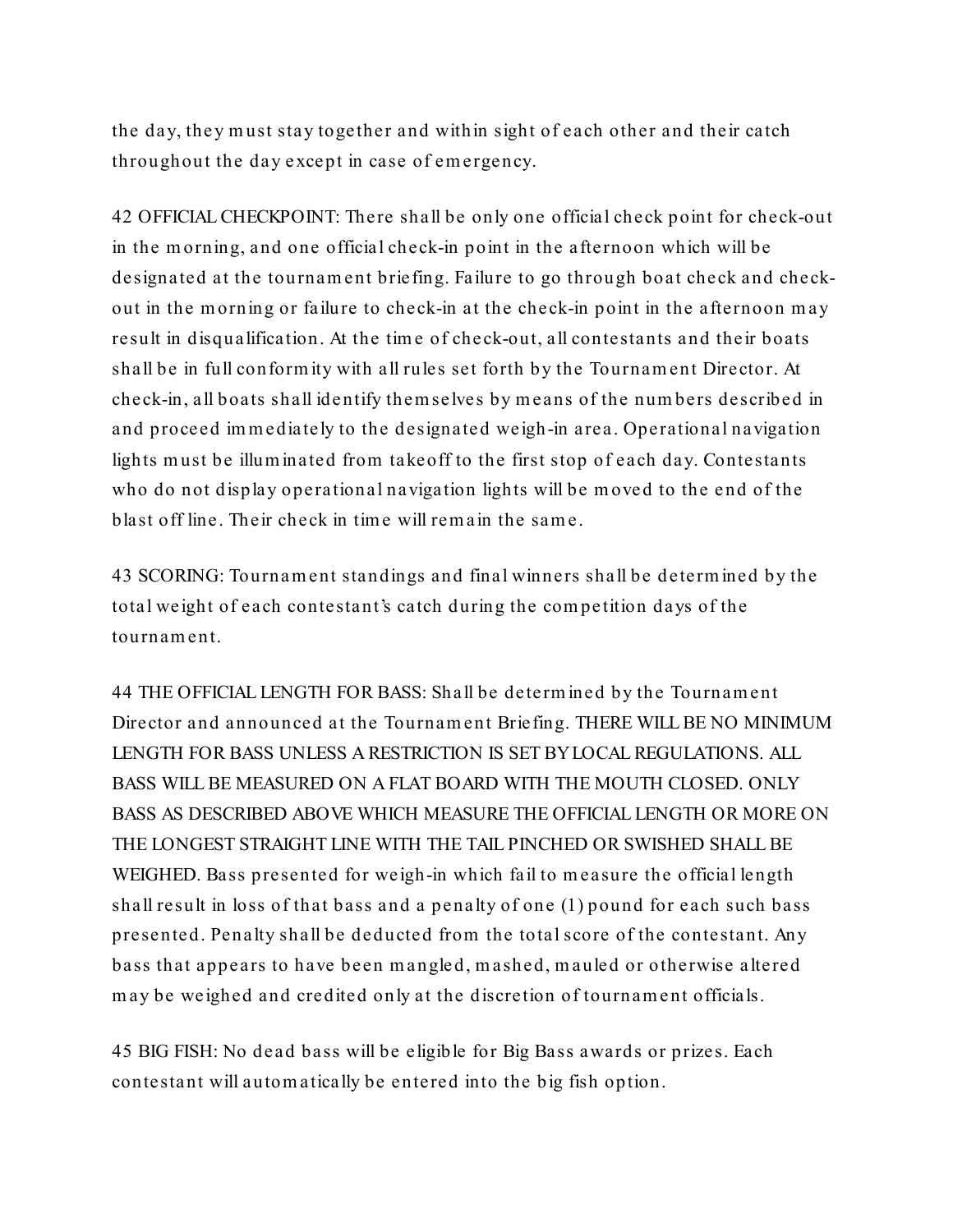the day, they must stay together and within sight of each other and their catch throughout the day except in case of em ergency.

42 OFFICIAL CHECKPOINT: There shall be only one official check point for check-out in the m orning, and one official check-in point in the afternoon which will be designated at the tournament briefing. Failure to go through boat check and checkout in the morning or failure to check-in at the check-in point in the afternoon may result in disqualification. At the tim e of check-out, all contestants and their boats shall be in full conform ity with all rules set forth by the Tournam ent Director. At check-in, all boats shall ide ntify them selves by means of the numbers described in and proceed immediately to the designated weigh-in area. Operational navigation lights must be illum inated from takeoff to the first stop of each day. Contestants who do not display operational navigation lights will be moved to the end of the blast off line. Their check in tim e will rem ain the same.

43 SCORING: Tournament standings and final winners shall be determined by the total weight of each contestant's catch during the com pe tition days of the tournament.

44 THE OFFICIAL LENGTH FOR BASS: Shall be determ ined by the Tournam ent Director and announced at the Tournament Briefing. THERE WILL BE NO MINIMUM LENGTH FOR BASS UNLESS A RESTRICTION IS SET BYLOCAL REGULATIONS. ALL BASS WILL BE MEASURED ON A FLAT BOARD WITH THE MOUTH CLOSED. ONLY BASS AS DESCRIBED ABOVE WHICH MEASURE THE OFFICIAL LENGTH OR MORE ON THE LONGEST STRAIGHT LINE WITH THE TAIL PINCHED OR SWISHED SHALL BE WEIGHED. Bass presented for weigh-in which fail to measure the official length shall result in loss of that bass and a penalty of one (1) pound for each such bass presented. Penalty shall be deducted from the total score of the contestant. Any bass that appears to have been m angle d, mashed, m auled or otherwise altered may be weighed and credited only at the discretion of tournament officials.

45 BIG FISH: No dead bass will be eligible for Big Bass awards or prizes. Each contestant will autom atically be entered into the big fish option.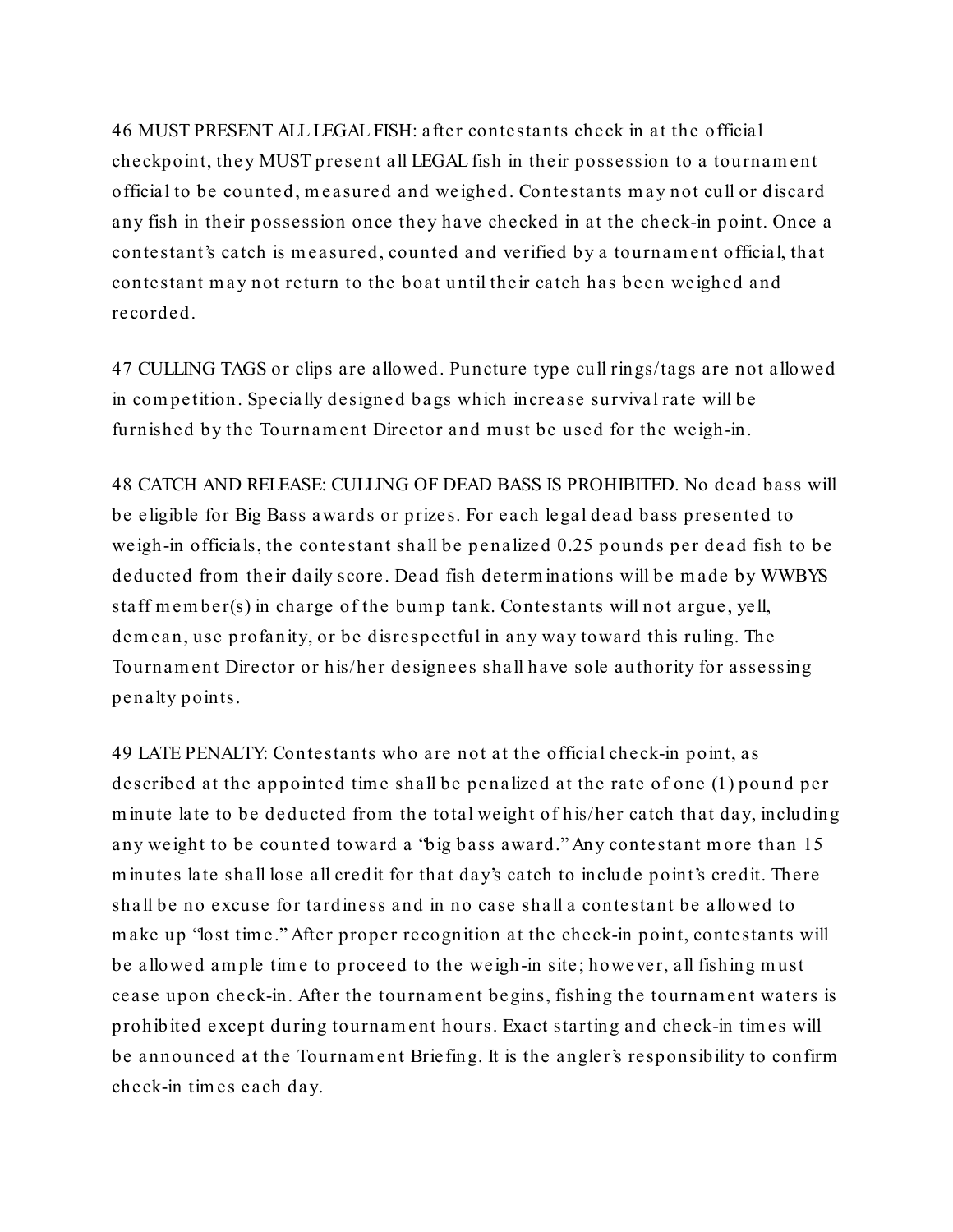46 MUST PRESENT ALL LEGAL FISH: after contestants check in at the official checkpoint, they MUST present all LEGAL fish in their possession to a tournament official to be counted, measured and weighed. Contestants may not cull or discard any fish in their possession once they have checked in at the check-in point. Once a contestant's catch is measured, counted and verifie d by a tournament official, that contestant may not return to the boat until their catch has been weighed and recorded.

47 CULLING TAGS or clips are allowed. Puncture type cull rings/tags are not allowed in com petition. Specially designe d bags which increase survival rate will be furnished by the Tournam ent Director and must be used for the weigh-in.

48 CATCH AND RELEASE: CULLING OF DEAD BASS IS PROHIBITED. No dead bass will be eligible for Big Bass awards or prizes. For each legal dead bass presented to weigh-in officials, the contestant shall be penalized 0.25 pounds per dead fish to be deducted from their daily score. Dead fish determinations will be made by WWBYS staff m em ber(s) in charge of the bump tank. Contestants will not argue, yell, demean, use profanity, or be disrespectful in any way toward this ruling. The Tournam ent Director or his/her designees shall have sole authority for assessing penalty points.

49 LATE PENALTY: Contestants who are not at the official check-in point, as described at the appointed time shall be penalized at the rate of one (1) pound per m inute late to be deducted from the total weight of his/her catch that day, including any weight to be counted toward a "big bass award." Any contestant more than 15 m inutes late shall lose all credit for that day's catch to include point's credit. There shall be no excuse for tardiness and in no case shall a contestant be allowed to make up "lost time." After proper recognition at the check-in point, contestants will be allowed am ple tim e to proceed to the weigh-in site; however, all fishing must cease upon check-in. After the tournament begins, fishing the tournament waters is prohibited except during tournament hours. Exact starting and check-in tim es will be announced at the Tournam ent Briefing. It is the angler's responsibility to confirm check-in tim es each day.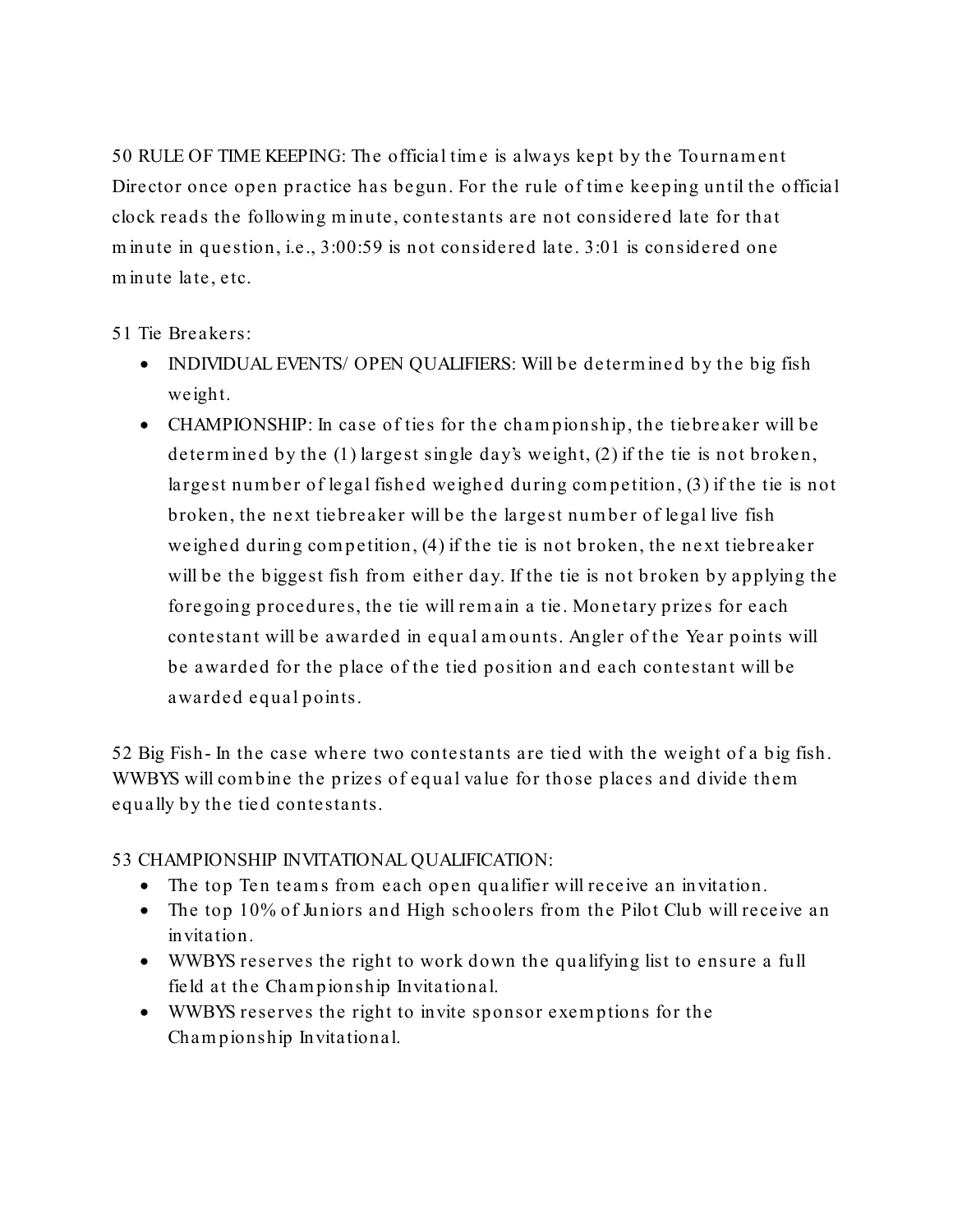50 RULE OF TIME KEEPING: The official tim e is always kept by the Tournam e nt Director once open practice has begun. For the rule of time keeping until the official clock reads the following m inute, contestants are not considere d late for that m inute in question, i.e., 3:00:59 is not considered late. 3:01 is considered one m inute late, etc.

51 Tie Breakers:

- INDIVIDUAL EVENTS/ OPEN QUALIFIERS: Will be determined by the big fish weight.
- CHAMPIONSHIP: In case of ties for the championship, the tiebreaker will be determined by the (1) largest single day's weight, (2) if the tie is not broken, largest number of legal fished weighed during com petition, (3) if the tie is not broken, the next tiebreaker will be the large st number of legal live fish weighed during compe tition, (4) if the tie is not broken, the next tiebreaker will be the biggest fish from either day. If the tie is not broken by applying the foregoing procedures, the tie will rem ain a tie. Monetary prizes for each contestant will be awarded in equal amounts. Angler of the Year points will be awarded for the place of the tied position and each contestant will be awarded equal points.

52 Big Fish- In the case where two contestants are tied with the weight of a big fish. WWBYS will com bine the prizes of equal value for those places and divide them equally by the tied contestants.

53 CHAMPIONSHIP INVITATIONAL QUALIFICATION:

- The top Ten teams from each open qualifier will receive an invitation.
- The top 10% of Juniors and High schoolers from the Pilot Club will receive an invitation.
- WWBYS reserves the right to work down the qualifying list to ensure a full field at the Cham pionship Invitational.
- WWBYS reserves the right to invite sponsor exem ptions for the Cham pionship Invitational.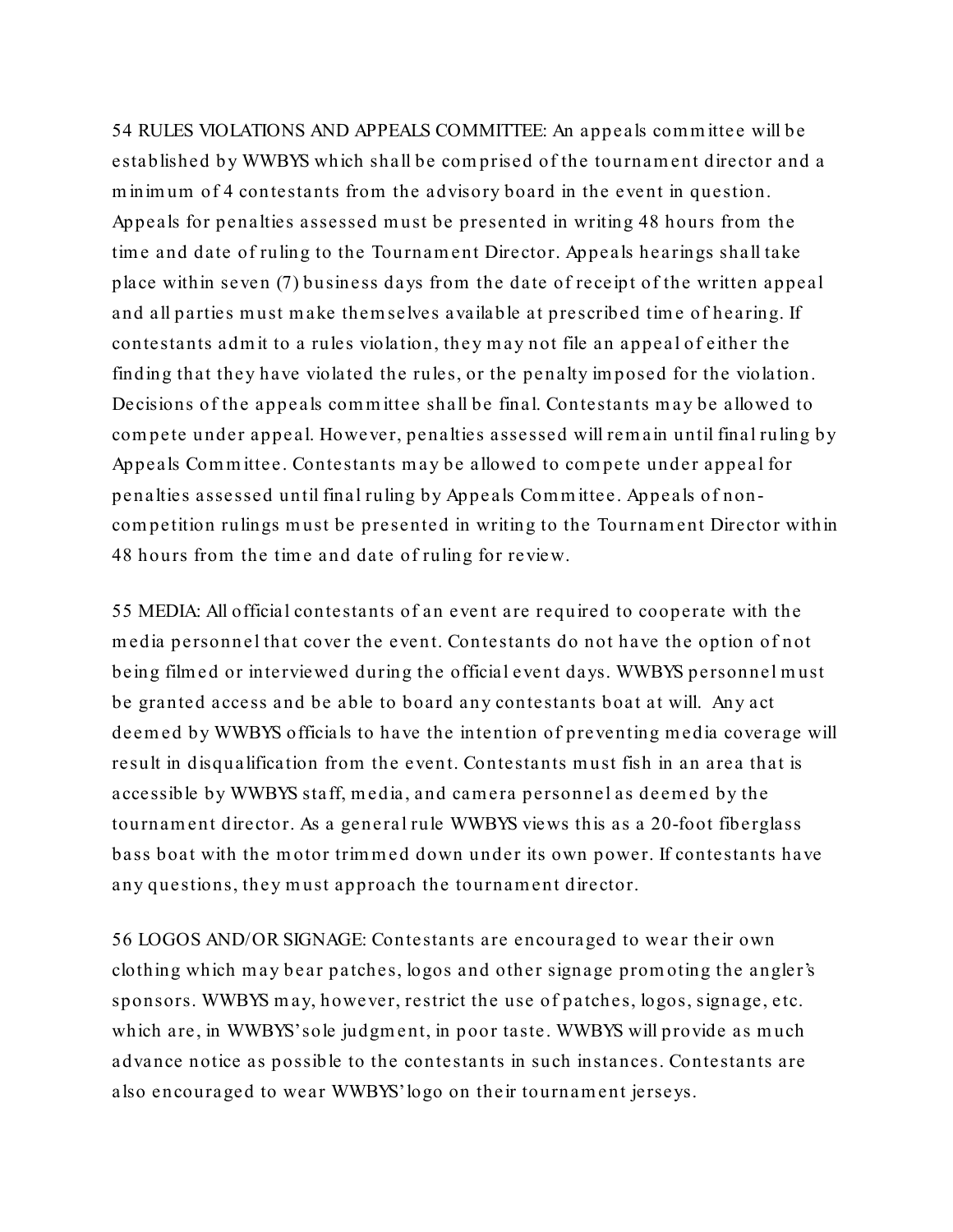54 RULES VIOLATIONS AND APPEALS COMMITTEE: An appeals committee will be established by WWBYS which shall be com prised of the tournament director and a minimum of 4 contestants from the advisory board in the event in question. Appeals for penalties assessed must be presented in writing 48 hours from the time and date of ruling to the Tournament Director. Appeals hearings shall take place within seven (7) business days from the date of receipt of the written appeal and all parties must make themselves available at prescribed time of hearing. If contestants adm it to a rules violation, they may not file an appeal of either the finding that they have violated the rules, or the penalty imposed for the violation. Decisions of the appeals committee shall be final. Contestants may be allowed to compete under appeal. However, penalties assessed will remain until final ruling by Appeals Com m ittee. Contestants may be allowed to compete under appeal for penalties assessed until final ruling by Appe als Com m ittee. Appeals of noncom petition rulings must be presented in writing to the Tournam ent Director within 48 hours from the tim e and date of ruling for review.

55 MEDIA: All official contestants of an eve nt are required to cooperate with the m edia personnel that cover the event. Contestants do not have the option of not being film ed or interviewed during the official event days. WWBYS personnel must be granted access and be able to board any contestants boat at will. Any act deemed by WWBYS officials to have the intention of preventing m edia coverage will result in disqualification from the event. Contestants must fish in an area that is accessible by WWBYS staff, m edia, and camera personnel as deemed by the tournament director. As a general rule WWBYS views this as a 20-foot fiberglass bass boat with the motor trimmed down under its own power. If contestants have any questions, they must approach the tournament director.

56 LOGOS AND/OR SIGNAGE: Contestants are encouraged to wear their own clothing which may bear patches, logos and other signage prom oting the angler's sponsors. WWBYS m ay, however, restrict the use of patches, logos, signage, etc. which are, in WWBYS'sole judgment, in poor taste. WWBYS will provide as much advance notice as possible to the contestants in such instances. Contestants are also encouraged to wear WWBYS' logo on their tournament jerseys.